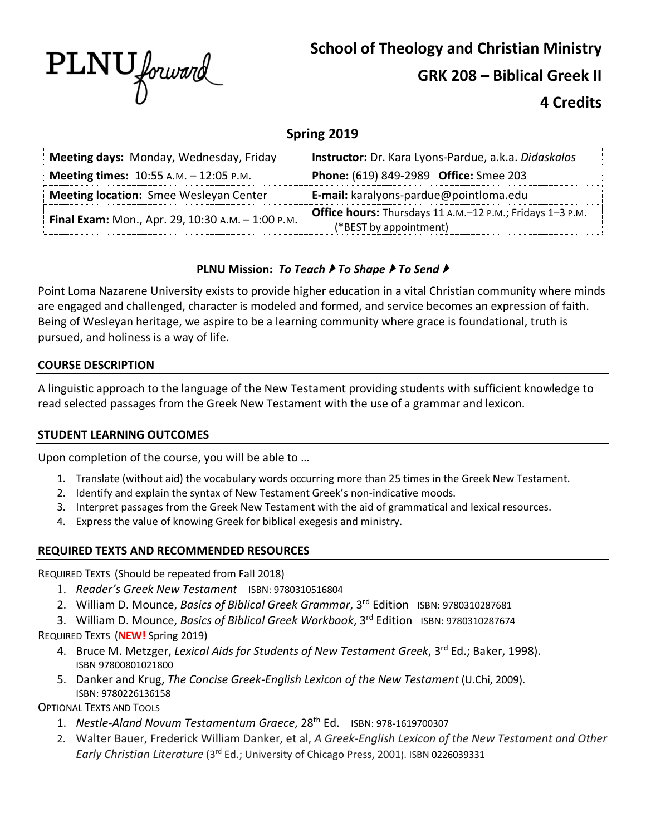

# **4 Credits**

## **Spring 2019**

| Meeting days: Monday, Wednesday, Friday           | Instructor: Dr. Kara Lyons-Pardue, a.k.a. Didaskalos      |
|---------------------------------------------------|-----------------------------------------------------------|
| <b>Meeting times:</b> $10:55$ A.M. $- 12:05$ P.M. | Phone: (619) 849-2989 Office: Smee 203                    |
| <b>Meeting location:</b> Smee Wesleyan Center     | E-mail: karalyons-pardue@pointloma.edu                    |
| Final Exam: Mon., Apr. 29, 10:30 A.M. - 1:00 P.M. | Office hours: Thursdays 11 A.M.-12 P.M.; Fridays 1-3 P.M. |
|                                                   | (*BEST by appointment)                                    |

## **PLNU Mission:** *To Teach* } *To Shape* } *To Send* }

Point Loma Nazarene University exists to provide higher education in a vital Christian community where minds are engaged and challenged, character is modeled and formed, and service becomes an expression of faith. Being of Wesleyan heritage, we aspire to be a learning community where grace is foundational, truth is pursued, and holiness is a way of life.

### **COURSE DESCRIPTION**

A linguistic approach to the language of the New Testament providing students with sufficient knowledge to read selected passages from the Greek New Testament with the use of a grammar and lexicon.

#### **STUDENT LEARNING OUTCOMES**

Upon completion of the course, you will be able to …

- 1. Translate (without aid) the vocabulary words occurring more than 25 times in the Greek New Testament.
- 2. Identify and explain the syntax of New Testament Greek's non-indicative moods.
- 3. Interpret passages from the Greek New Testament with the aid of grammatical and lexical resources.
- 4. Express the value of knowing Greek for biblical exegesis and ministry.

### **REQUIRED TEXTS AND RECOMMENDED RESOURCES**

REQUIRED TEXTS (Should be repeated from Fall 2018)

- 1. *Reader's Greek New Testament* ISBN: 9780310516804
- 2. William D. Mounce, *Basics of Biblical Greek Grammar*, 3rd Edition ISBN: 9780310287681
- 3. William D. Mounce, *Basics of Biblical Greek Workbook*, 3rd Edition ISBN: 9780310287674

REQUIRED TEXTS (**NEW!** Spring 2019)

- 4. Bruce M. Metzger, *Lexical Aids for Students of New Testament Greek*, 3rd Ed.; Baker, 1998). ISBN 97800801021800
- 5. Danker and Krug, *The Concise Greek-English Lexicon of the New Testament* (U.Chi, 2009). ISBN: 9780226136158

OPTIONAL TEXTS AND TOOLS

- 1. *Nestle-Aland Novum Testamentum Graece*, 28th Ed.ISBN: 978-1619700307
- 2. Walter Bauer, Frederick William Danker, et al, *A Greek-English Lexicon of the New Testament and Other Early Christian Literature* (3rd Ed.; University of Chicago Press, 2001). ISBN 0226039331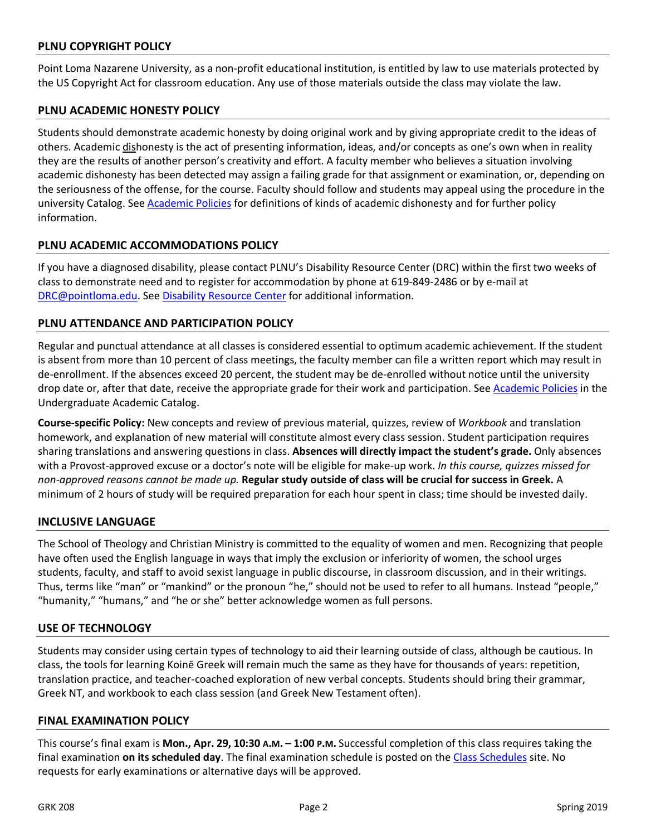#### **PLNU COPYRIGHT POLICY**

Point Loma Nazarene University, as a non-profit educational institution, is entitled by law to use materials protected by the US Copyright Act for classroom education. Any use of those materials outside the class may violate the law.

#### **PLNU ACADEMIC HONESTY POLICY**

Students should demonstrate academic honesty by doing original work and by giving appropriate credit to the ideas of others. Academic dishonesty is the act of presenting information, ideas, and/or concepts as one's own when in reality they are the results of another person's creativity and effort. A faculty member who believes a situation involving academic dishonesty has been detected may assign a failing grade for that assignment or examination, or, depending on the seriousness of the offense, for the course. Faculty should follow and students may appeal using the procedure in the university Catalog. See Academic Policies for definitions of kinds of academic dishonesty and for further policy information.

#### **PLNU ACADEMIC ACCOMMODATIONS POLICY**

If you have a diagnosed disability, please contact PLNU's Disability Resource Center (DRC) within the first two weeks of class to demonstrate need and to register for accommodation by phone at 619-849-2486 or by e-mail at DRC@pointloma.edu. See Disability Resource Center for additional information.

#### **PLNU ATTENDANCE AND PARTICIPATION POLICY**

Regular and punctual attendance at all classes is considered essential to optimum academic achievement. If the student is absent from more than 10 percent of class meetings, the faculty member can file a written report which may result in de-enrollment. If the absences exceed 20 percent, the student may be de-enrolled without notice until the university drop date or, after that date, receive the appropriate grade for their work and participation. See Academic Policies in the Undergraduate Academic Catalog.

**Course-specific Policy:** New concepts and review of previous material, quizzes, review of *Workbook* and translation homework, and explanation of new material will constitute almost every class session. Student participation requires sharing translations and answering questions in class. **Absences will directly impact the student's grade.** Only absences with a Provost-approved excuse or a doctor's note will be eligible for make-up work. *In this course, quizzes missed for non-approved reasons cannot be made up.* **Regular study outside of class will be crucial for success in Greek.** A minimum of 2 hours of study will be required preparation for each hour spent in class; time should be invested daily.

#### **INCLUSIVE LANGUAGE**

The School of Theology and Christian Ministry is committed to the equality of women and men. Recognizing that people have often used the English language in ways that imply the exclusion or inferiority of women, the school urges students, faculty, and staff to avoid sexist language in public discourse, in classroom discussion, and in their writings. Thus, terms like "man" or "mankind" or the pronoun "he," should not be used to refer to all humans. Instead "people," "humanity," "humans," and "he or she" better acknowledge women as full persons.

#### **USE OF TECHNOLOGY**

Students may consider using certain types of technology to aid their learning outside of class, although be cautious. In class, the tools for learning Koinē Greek will remain much the same as they have for thousands of years: repetition, translation practice, and teacher-coached exploration of new verbal concepts. Students should bring their grammar, Greek NT, and workbook to each class session (and Greek New Testament often).

#### **FINAL EXAMINATION POLICY**

This course's final exam is **Mon., Apr. 29, 10:30 A.M. – 1:00 P.M.** Successful completion of this class requires taking the final examination **on its scheduled day**. The final examination schedule is posted on the Class Schedules site. No requests for early examinations or alternative days will be approved.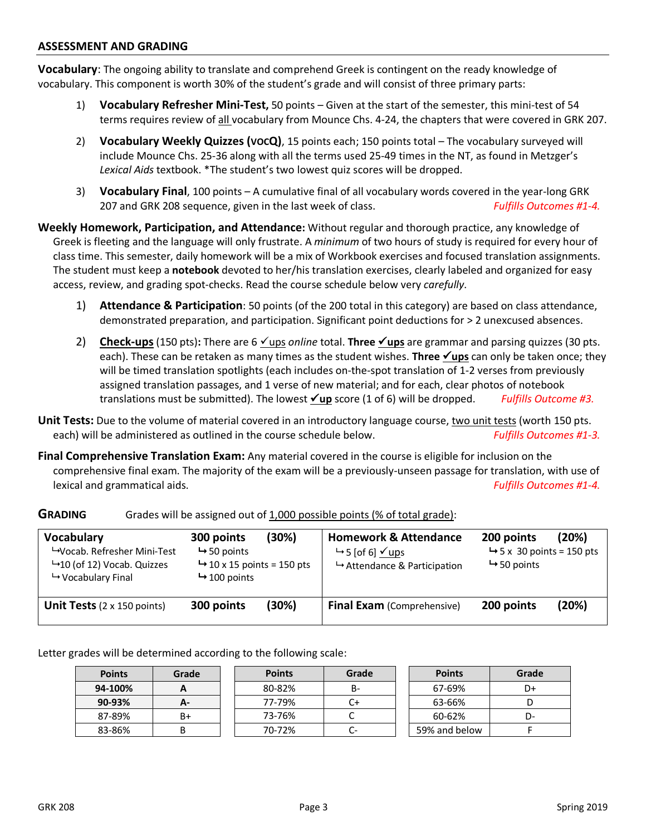#### **ASSESSMENT AND GRADING**

**Vocabulary**: The ongoing ability to translate and comprehend Greek is contingent on the ready knowledge of vocabulary. This component is worth 30% of the student's grade and will consist of three primary parts:

- 1) **Vocabulary Refresher Mini-Test,** 50 points Given at the start of the semester, this mini-test of 54 terms requires review of all vocabulary from Mounce Chs. 4-24, the chapters that were covered in GRK 207.
- 2) **Vocabulary Weekly Quizzes (VOCQ)**, 15 points each; 150 points total The vocabulary surveyed will include Mounce Chs. 25-36 along with all the terms used 25-49 times in the NT, as found in Metzger's *Lexical Aids* textbook. \*The student's two lowest quiz scores will be dropped.
- 3) **Vocabulary Final**, 100 points A cumulative final of all vocabulary words covered in the year-long GRK 207 and GRK 208 sequence, given in the last week of class. *Fulfills Outcomes #1-4.*

**Weekly Homework, Participation, and Attendance:** Without regular and thorough practice, any knowledge of Greek is fleeting and the language will only frustrate. A *minimum* of two hours of study is required for every hour of class time. This semester, daily homework will be a mix of Workbook exercises and focused translation assignments. The student must keep a **notebook** devoted to her/his translation exercises, clearly labeled and organized for easy access, review, and grading spot-checks. Read the course schedule below very *carefully*.

- 1) **Attendance & Participation**: 50 points (of the 200 total in this category) are based on class attendance, demonstrated preparation, and participation. Significant point deductions for > 2 unexcused absences.
- 2) **Check-ups** (150 pts): There are 6 <u>√ups</u> *online* total. **Three** <u>√ups</u> are grammar and parsing quizzes (30 pts. each). These can be retaken as many times as the student wishes. **Three <u>Yups</u>** can only be taken once; they will be timed translation spotlights (each includes on-the-spot translation of 1-2 verses from previously assigned translation passages, and 1 verse of new material; and for each, clear photos of notebook translations must be submitted). The lowest  $\angle$ up score (1 of 6) will be dropped. *Fulfills Outcome #3.*
- **Unit Tests:** Due to the volume of material covered in an introductory language course, two unit tests (worth 150 pts. each) will be administered as outlined in the course schedule below. *Fulfills Outcomes #1-3.*
- **Final Comprehensive Translation Exam:** Any material covered in the course is eligible for inclusion on the comprehensive final exam. The majority of the exam will be a previously-unseen passage for translation, with use of lexical and grammatical aids. *Fulfills Outcomes #1-4.*

| <b>Vocabulary</b><br>→ Vocab. Refresher Mini-Test<br>$\rightarrow$ 10 (of 12) Vocab. Quizzes<br>$\mapsto$ Vocabulary Final | (30%)<br>300 points<br>$\rightarrow$ 50 points<br>$\rightarrow$ 10 x 15 points = 150 pts<br>$\rightarrow$ 100 points |       | <b>Homework &amp; Attendance</b><br>$\rightarrow$ 5 [of 6] $\checkmark$ ups<br>$\rightarrow$ Attendance & Participation | (20%)<br>200 points<br>$\rightarrow$ 5 x 30 points = 150 pts<br>$\rightarrow$ 50 points |       |
|----------------------------------------------------------------------------------------------------------------------------|----------------------------------------------------------------------------------------------------------------------|-------|-------------------------------------------------------------------------------------------------------------------------|-----------------------------------------------------------------------------------------|-------|
| <b>Unit Tests</b> $(2 \times 150 \text{ points})$                                                                          | 300 points                                                                                                           | (30%) | <b>Final Exam</b> (Comprehensive)                                                                                       | 200 points                                                                              | (20%) |

**GRADING** Grades will be assigned out of 1,000 possible points (% of total grade):

Letter grades will be determined according to the following scale:

| <b>Points</b> | Grade | <b>Points</b> | Grade | <b>Points</b> | Grade |
|---------------|-------|---------------|-------|---------------|-------|
| 94-100%       | г     | 80-82%        | В-    | 67-69%        | D+    |
| 90-93%        | А-    | 77-79%        |       | 63-66%        | ◡     |
| 87-89%        | B+    | 73-76%        | ◡     | 60-62%        | D-    |
| 83-86%        |       | 70-72%        | C-    | 59% and below |       |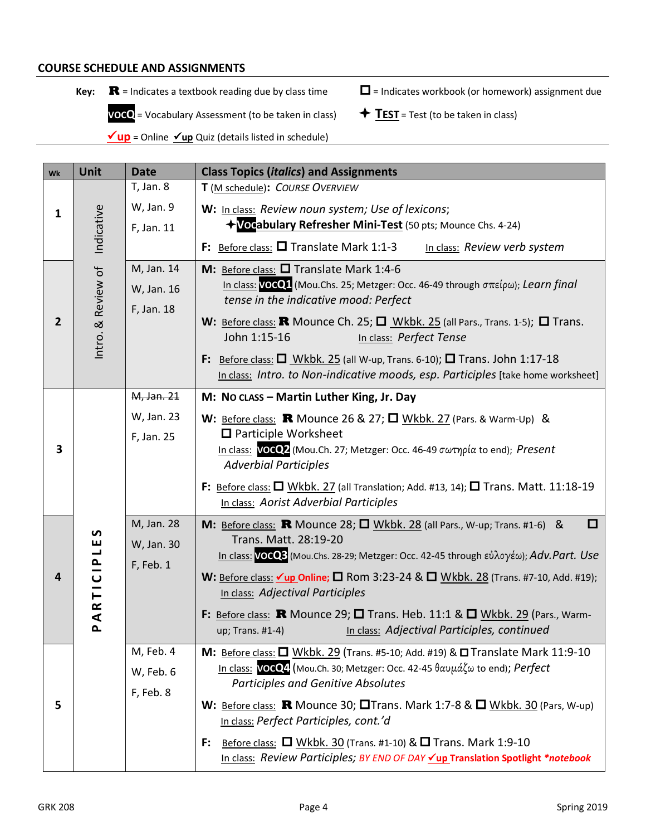#### **COURSE SCHEDULE AND ASSIGNMENTS**

**Key:**  $\mathbf{R}$  = Indicates a textbook reading due by class time  $\Box$  = Indicates workbook (or homework) assignment due

 **VOCQ** = Vocabulary Assessment (to be taken in class)  $\qquad$  **TEST** = Test (to be taken in class)

**√up** = Online **√up** Quiz (details listed in schedule)

| Wk                      | Unit                                         | <b>Date</b> | <b>Class Topics (italics) and Assignments</b>                                                                           |  |  |  |
|-------------------------|----------------------------------------------|-------------|-------------------------------------------------------------------------------------------------------------------------|--|--|--|
|                         |                                              | T, Jan. 8   | T (M schedule): COURSE OVERVIEW                                                                                         |  |  |  |
| $\mathbf{1}$            |                                              | W, Jan. 9   | W: In class: Review noun system; Use of lexicons;                                                                       |  |  |  |
|                         | Indicative                                   | F, Jan. 11  | +Vocabulary Refresher Mini-Test (50 pts; Mounce Chs. 4-24)                                                              |  |  |  |
|                         |                                              |             | F: Before class: $\square$ Translate Mark 1:1-3<br>In class: Review verb system                                         |  |  |  |
|                         |                                              | M, Jan. 14  | M: Before class: Q Translate Mark 1:4-6                                                                                 |  |  |  |
|                         |                                              | W, Jan. 16  | In class: VOCQ1 (Mou.Chs. 25; Metzger: Occ. 46-49 through σπείρω); Learn final<br>tense in the indicative mood: Perfect |  |  |  |
| $\overline{2}$          |                                              | F, Jan. 18  | W: Before class: <b>R</b> Mounce Ch. 25; $\Box$ Wkbk. 25 (all Pars., Trans. 1-5); $\Box$ Trans.                         |  |  |  |
|                         | Intro. & Review of                           |             | John 1:15-16<br>In class: Perfect Tense                                                                                 |  |  |  |
|                         |                                              |             | F: Before class: $\Box$ Wkbk. 25 (all W-up, Trans. 6-10); $\Box$ Trans. John 1:17-18                                    |  |  |  |
|                         |                                              |             | In class: Intro. to Non-indicative moods, esp. Participles [take home worksheet]                                        |  |  |  |
|                         |                                              | M, Jan. 21  | M: No class - Martin Luther King, Jr. Day                                                                               |  |  |  |
|                         |                                              | W, Jan. 23  | W: Before class: R Mounce 26 & 27; $\Box$ Wkbk. 27 (Pars. & Warm-Up) &                                                  |  |  |  |
| $\overline{\mathbf{3}}$ |                                              | F, Jan. 25  | $\Box$ Participle Worksheet<br>In class: VOCQ2 (Mou.Ch. 27; Metzger: Occ. 46-49 σωτηρία to end); Present                |  |  |  |
|                         |                                              |             | <b>Adverbial Participles</b>                                                                                            |  |  |  |
|                         |                                              |             | F: Before class: $\Box$ Wkbk. 27 (all Translation; Add. #13, 14); $\Box$ Trans. Matt. 11:18-19                          |  |  |  |
|                         |                                              |             | In class: Aorist Adverbial Participles                                                                                  |  |  |  |
|                         | n                                            | M, Jan. 28  | M: Before class: <b>R</b> Mounce 28; $\Box$ Wkbk. 28 (all Pars., W-up; Trans. #1-6) &<br>□<br>Trans. Matt. 28:19-20     |  |  |  |
|                         | ш                                            | W, Jan. 30  | In class: VOCQ3 (Mou.Chs. 28-29; Metzger: Occ. 42-45 through εὐλογέω); Adv.Part. Use                                    |  |  |  |
| 4                       | TICIPL                                       | F, Feb. 1   | W: Before class: $\sqrt{up}$ Online; $\Box$ Rom 3:23-24 & $\Box$ Wkbk. 28 (Trans. #7-10, Add. #19);                     |  |  |  |
|                         |                                              |             | In class: Adjectival Participles                                                                                        |  |  |  |
|                         | $\mathbf{\tilde{z}}$<br>$\blacktriangleleft$ |             | F: Before class: <b>R</b> Mounce 29; $\square$ Trans. Heb. 11:1 & $\square$ Wkbk. 29 (Pars., Warm-                      |  |  |  |
|                         | $\mathbf{r}$                                 |             | In class: Adjectival Participles, continued<br>up; Trans. #1-4)                                                         |  |  |  |
|                         |                                              | M, Feb. 4   | M: Before class: U Wkbk. 29 (Trans. #5-10; Add. #19) & U Translate Mark 11:9-10                                         |  |  |  |
|                         |                                              | W, Feb. 6   | In class: VOCQ4 (Mou.Ch. 30; Metzger: Occ. 42-45 θαυμάζω to end); Perfect<br><b>Participles and Genitive Absolutes</b>  |  |  |  |
| 5                       |                                              | F, Feb. 8   | W: Before class: <b>R</b> Mounce 30; $\Box$ Trans. Mark 1:7-8 & $\Box$ Wkbk. 30 (Pars, W-up)                            |  |  |  |
|                         |                                              |             | In class: Perfect Participles, cont.'d                                                                                  |  |  |  |
|                         |                                              |             | Before class: $\Box$ Wkbk. 30 (Trans. #1-10) & $\Box$ Trans. Mark 1:9-10<br>F:                                          |  |  |  |
|                         |                                              |             | In class: Review Participles; BY END OF DAY <u>Vup</u> Translation Spotlight *notebook                                  |  |  |  |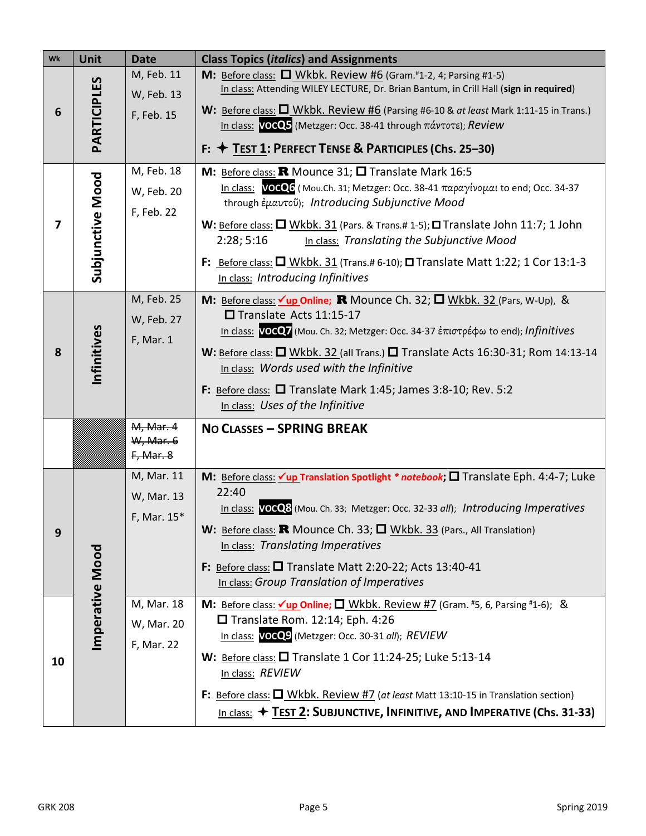| Wk                      | Unit             | <b>Date</b>                             | <b>Class Topics (italics) and Assignments</b>                                                                                                                                                                                                                                                                                                                                                                                                                                        |  |  |
|-------------------------|------------------|-----------------------------------------|--------------------------------------------------------------------------------------------------------------------------------------------------------------------------------------------------------------------------------------------------------------------------------------------------------------------------------------------------------------------------------------------------------------------------------------------------------------------------------------|--|--|
| 6                       | PARTICIPLES      | M, Feb. 11<br>W, Feb. 13<br>F, Feb. 15  | <b>M:</b> Before class: $\Box$ Wkbk. Review #6 (Gram. <sup>#</sup> 1-2, 4; Parsing #1-5)<br>In class: Attending WILEY LECTURE, Dr. Brian Bantum, in Crill Hall (sign in required)<br>W: Before class: $\Box$ Wkbk. Review #6 (Parsing #6-10 & at least Mark 1:11-15 in Trans.)<br>In class: $VOCQ5$ (Metzger: Occ. 38-41 through $\pi\acute{\alpha}v\tau$ o $\tau\epsilon$ ); Review<br>F: ↑ TEST 1: PERFECT TENSE & PARTICIPLES (Chs. 25–30)                                        |  |  |
| $\overline{\mathbf{z}}$ | Subjunctive Mood | M, Feb. 18<br>W, Feb. 20<br>F, Feb. 22  | M: Before class: R Mounce 31; O Translate Mark 16:5<br>In class: VOCQ6 (Mou.Ch. 31; Metzger: Occ. 38-41 παραγίνομαι to end; Occ. 34-37<br>through έμαυτοῦ); Introducing Subjunctive Mood<br>W: Before class: $\Box$ Wkbk. 31 (Pars. & Trans.# 1-5); $\Box$ Translate John 11:7; 1 John<br>In class: Translating the Subjunctive Mood<br>2:28; 5:16<br>F: Before class: $\Box$ Wkbk. 31 (Trans.# 6-10); $\Box$ Translate Matt 1:22; 1 Cor 13:1-3<br>In class: Introducing Infinitives |  |  |
| 8                       | Infinitives      | M, Feb. 25<br>W, Feb. 27<br>F, Mar. 1   | M: Before class: $\sqrt{\text{up Online}}$ ; R Mounce Ch. 32; $\Box$ Wkbk. 32 (Pars, W-Up), &<br>Translate Acts 11:15-17<br>In class: VOCO7 (Mou. Ch. 32; Metzger: Occ. 34-37 ἐπιστρέφω to end); Infinitives<br>W: Before class: O Wkbk. 32 (all Trans.) O Translate Acts 16:30-31; Rom 14:13-14<br>In class: Words used with the Infinitive<br>F: Before class: <b>O</b> Translate Mark 1:45; James 3:8-10; Rev. 5:2<br>In class: Uses of the Infinitive                            |  |  |
|                         |                  | M, Mar. 4<br>W, Mar. 6<br>F, Mar. 8     | NO CLASSES - SPRING BREAK                                                                                                                                                                                                                                                                                                                                                                                                                                                            |  |  |
| 9                       |                  | M, Mar. 11<br>W, Mar. 13<br>F, Mar. 15* | M: Before class: vup Translation Spotlight * notebook; □ Translate Eph. 4:4-7; Luke<br>22:40<br>In class: VOCO8 (Mou. Ch. 33; Metzger: Occ. 32-33 all); Introducing Imperatives<br>W: Before class: R Mounce Ch. 33; <sup>[]</sup> Wkbk. 33 (Pars., All Translation)<br>In class: Translating Imperatives<br>F: Before class: $\Box$ Translate Matt 2:20-22; Acts 13:40-41<br>In class: Group Translation of Imperatives                                                             |  |  |
| 10                      | Imperative Mood  | M, Mar. 18<br>W, Mar. 20<br>F, Mar. 22  | M: Before class: $\sqrt{\text{up Online}}$ , $\Box$ Wkbk. Review #7 (Gram. #5, 6, Parsing #1-6); &<br>$\Box$ Translate Rom. 12:14; Eph. 4:26<br>In class: VOCQ9 (Metzger: Occ. 30-31 all); REVIEW<br>W: Before class: $\Box$ Translate 1 Cor 11:24-25; Luke 5:13-14<br>In class: REVIEW<br>F: Before class: $\Box$ Wkbk. Review #7 (at least Matt 13:10-15 in Translation section)<br>In class: $\div$ TEST 2: SUBJUNCTIVE, INFINITIVE, AND IMPERATIVE (Chs. 31-33)                  |  |  |